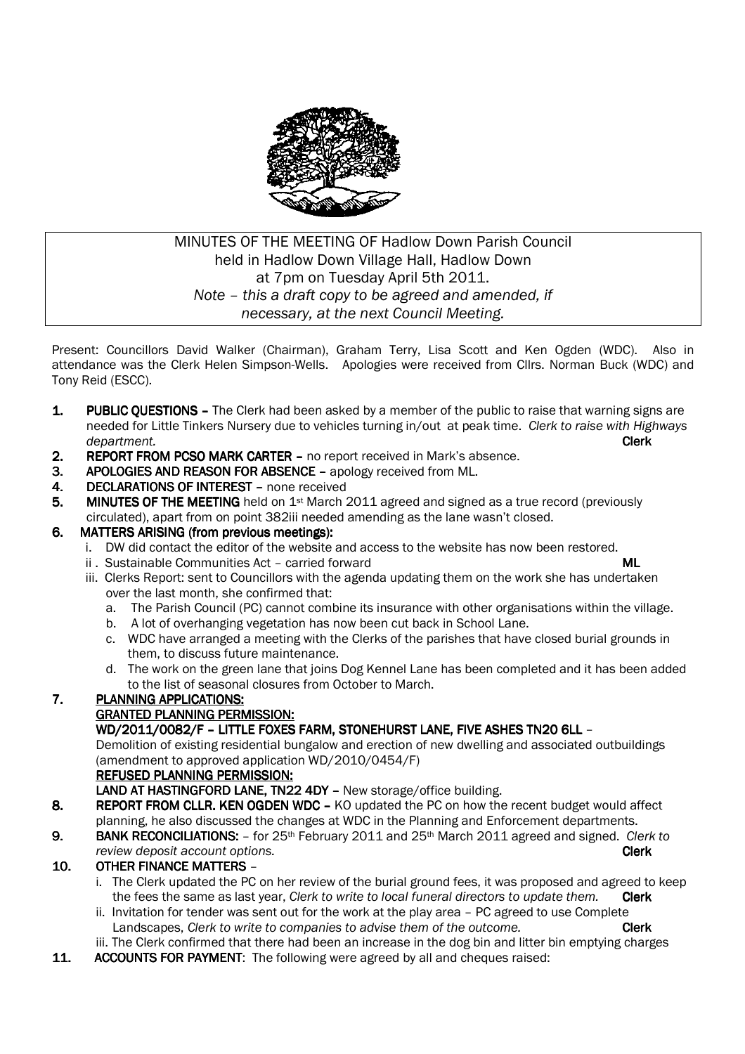

# MINUTES OF THE MEETING OF Hadlow Down Parish Council held in Hadlow Down Village Hall, Hadlow Down at 7pm on Tuesday April 5th 2011. *Note – this a draft copy to be agreed and amended, if necessary, at the next Council Meeting.*

Present: Councillors David Walker (Chairman), Graham Terry, Lisa Scott and Ken Ogden (WDC). Also in attendance was the Clerk Helen Simpson-Wells. Apologies were received from Cllrs. Norman Buck (WDC) and Tony Reid (ESCC).

- 1. PUBLIC OUESTIONS The Clerk had been asked by a member of the public to raise that warning signs are needed for Little Tinkers Nursery due to vehicles turning in/out at peak time. *Clerk to raise with Highways department.* Clerk
- 2. REPORT FROM PCSO MARK CARTER no report received in Mark's absence.
- 3. APOLOGIES AND REASON FOR ABSENCE apology received from ML.
- 4. DECLARATIONS OF INTEREST none received
- 5. MINUTES OF THE MEETING held on  $1st$  March 2011 agreed and signed as a true record (previously circulated), apart from on point 382iii needed amending as the lane wasn't closed.
- 6. MATTERS ARISING (from previous meetings):
	- i. DW did contact the editor of the website and access to the website has now been restored.
	- ii . Sustainable Communities Act carried forward ML
		- iii. Clerks Report: sent to Councillors with the agenda updating them on the work she has undertaken over the last month, she confirmed that:
			- a. The Parish Council (PC) cannot combine its insurance with other organisations within the village.
			- b. A lot of overhanging vegetation has now been cut back in School Lane.
			- c. WDC have arranged a meeting with the Clerks of the parishes that have closed burial grounds in them, to discuss future maintenance.
			- d. The work on the green lane that joins Dog Kennel Lane has been completed and it has been added to the list of seasonal closures from October to March.

## 7. PLANNING APPLICATIONS:

## **GRANTED PLANNING PERMISSION:**

WD/2011/0082/F - LITTLE FOXES FARM, STONEHURST LANE, FIVE ASHES TN20 6LL -

 Demolition of existing residential bungalow and erection of new dwelling and associated outbuildings (amendment to approved application WD/2010/0454/F)

#### REFUSED PLANNING PERMISSION:

- LAND AT HASTINGFORD LANE, TN22 4DY New storage/office building.
- 8. REPORT FROM CLLR. KEN OGDEN WDC KO updated the PC on how the recent budget would affect planning, he also discussed the changes at WDC in the Planning and Enforcement departments.
- 9. BANK RECONCILIATIONS: for 25<sup>th</sup> February 2011 and 25<sup>th</sup> March 2011 agreed and signed. *Clerk to review deposit account options.* Clerk

## 10. OTHER FINANCE MATTERS –

- i. The Clerk updated the PC on her review of the burial ground fees, it was proposed and agreed to keep the fees the same as last year, *Clerk to write to local funeral directors to update them.* Clerk
- ii. Invitation for tender was sent out for the work at the play area PC agreed to use Complete Landscapes, *Clerk to write to companies to advise them of the outcome.* **Clerk**
- iii. The Clerk confirmed that there had been an increase in the dog bin and litter bin emptying charges
- 11. ACCOUNTS FOR PAYMENT: The following were agreed by all and cheques raised: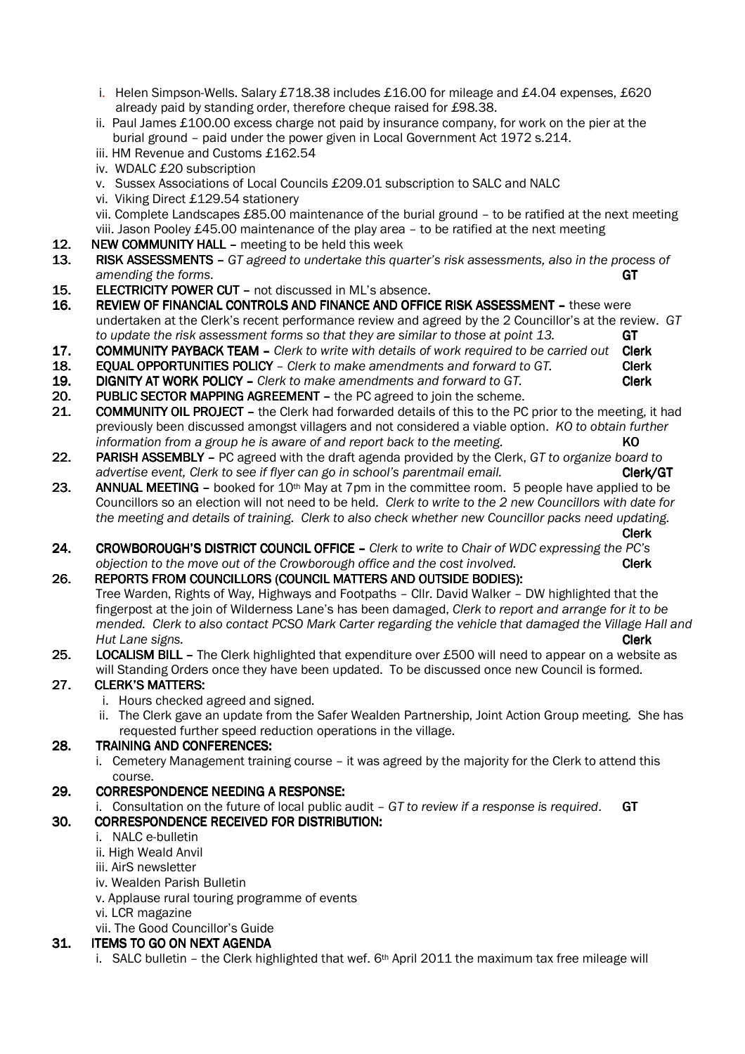- i. Helen Simpson-Wells. Salary £718.38 includes £16.00 for mileage and £4.04 expenses, £620 already paid by standing order, therefore cheque raised for £98.38.
- ii. Paul James £100.00 excess charge not paid by insurance company, for work on the pier at the burial ground – paid under the power given in Local Government Act 1972 s.214.
- iii. HM Revenue and Customs £162.54
- iv. WDALC £20 subscription
- v. Sussex Associations of Local Councils £209.01 subscription to SALC and NALC
- vi. Viking Direct £129.54 stationery
- vii. Complete Landscapes £85.00 maintenance of the burial ground to be ratified at the next meeting viii. Jason Pooley £45.00 maintenance of the play area – to be ratified at the next meeting  $12.$  NEW COMMUNITY HALL – meeting to be held this week
- NEW COMMUNITY HALL meeting to be held this week
- 13. RISK ASSESSMENTS *GT agreed to undertake this quarter's risk assessments, also in the process of amending the forms.* GT
- 15. ELECTRICITY POWER CUT not discussed in ML's absence.
- 16. REVIEW OF FINANCIAL CONTROLS AND FINANCE AND OFFICE RISK ASSESSMENT these were undertaken at the Clerk's recent performance review and agreed by the 2 Councillor's at the review. *GT to update the risk assessment forms so that they are similar to those at point 13.* GT
- 17. COMMUNITY PAYBACK TEAM *Clerk to write with details of work required to be carried out* Clerk
- 18. **EQUAL OPPORTUNITIES POLICY** *Clerk to make amendments and forward to GT.* **Clerk Clerk Clerk 19. DIGNITY AT WORK POLICY –** *Clerk to make amendments and forward to GT.* **Clerk Clerk**
- **DIGNITY AT WORK POLICY –** Clerk to make amendments and forward to GT.
- 20. PUBLIC SECTOR MAPPING AGREEMENT the PC agreed to join the scheme.
- 21. COMMUNITY OIL PROJECT the Clerk had forwarded details of this to the PC prior to the meeting, it had previously been discussed amongst villagers and not considered a viable option. *KO to obtain further information from a group he is aware of and report back to the meeting.* **KO**
- 22. PARISH ASSEMBLY PC agreed with the draft agenda provided by the Clerk, *GT to organize board to* advertise event, Clerk to see if flyer can go in school's parentmail email. **Clerk/GT**
- 23. ANNUAL MEETING booked for  $10<sup>th</sup>$  May at 7pm in the committee room. 5 people have applied to be Councillors so an election will not need to be held. *Clerk to write to the 2 new Councillors with date for the meeting and details of training. Clerk to also check whether new Councillor packs need updating.*
- Clerk 24. CROWBOROUGH'S DISTRICT COUNCIL OFFICE – Clerk to write to Chair of WDC expressing the PC's *objection to the move out of the Crowborough office and the cost involved.* Clerk

#### 26. REPORTS FROM COUNCILLORS (COUNCIL MATTERS AND OUTSIDE BODIES):

 Tree Warden, Rights of Way, Highways and Footpaths – Cllr. David Walker – DW highlighted that the fingerpost at the join of Wilderness Lane's has been damaged, *Clerk to report and arrange for it to be mended. Clerk to also contact PCSO Mark Carter regarding the vehicle that damaged the Village Hall and Hut Lane signs.* Clerk

25. LOCALISM BILL - The Clerk highlighted that expenditure over £500 will need to appear on a website as will Standing Orders once they have been updated. To be discussed once new Council is formed.

## 27. CLERK'S MATTERS:

- i. Hours checked agreed and signed.
- ii. The Clerk gave an update from the Safer Wealden Partnership, Joint Action Group meeting. She has requested further speed reduction operations in the village.

#### 28. TRAINING AND CONFERENCES:

 i. Cemetery Management training course – it was agreed by the majority for the Clerk to attend this course.

#### 29. CORRESPONDENCE NEEDING A RESPONSE:

i. Consultation on the future of local public audit – *GT to review if a response is required*. GT

## 30. CORRESPONDENCE RECEIVED FOR DISTRIBUTION: 30. RECEIVED DISTRIBUTION: DISTRIBUTION:

- i. NALC e-bulletin
- ii. High Weald Anvil
- iii. AirS newsletter
- iv. Wealden Parish Bulletin
- v. Applause rural touring programme of events
- vi. LCR magazine
- vii. The Good Councillor's Guide

#### 31. ITEMS TO GO ON NEXT AGENDA

i. SALC bulletin – the Clerk highlighted that wef.  $6<sup>th</sup>$  April 2011 the maximum tax free mileage will